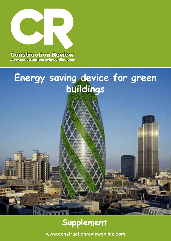

www.constructionreviewonline.com

**MARIE AND REAL** 

# **Energy saving device for green buildings**

# **Supplement**

**www.constructionreviewonline.com**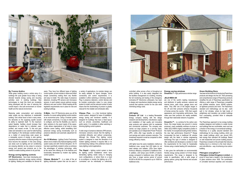#### **By Yvonne Andiva**

While green building covers a whole array of a buildings life cycle greater focus today is being directed towards energy saving and recycling activities even in existing buildings. New technologies to meet this trend are constantly being developed with the view of reducing the overall impact o the built environment on human health and the natural environment.

Reducing water consumption and protecting water quality are key objectives in sustainable building. One critical issue is that in many areas, the demands on the supplying aquifer exceed its ability to replenish itself. To the maximum extent feasible, facilities should increase their dependence on water that is collected, used, purified, and reused on-site. To this end grey water and rainwater is now used for toilet flushing and irrigating in the landscape outside buildings as a matter of course.Using solar power as a renewable source of energy is also gaining popularity while the means of reducing energy use have become the standard. In this area energy use areas such as lighting and air conditioning are enjoying attention as key areas to conserve energy and several new products are in the market to enable building owners to do just that.

#### **Energy saving lighting controls**

**CP Electronics** - have been developing and manufacturing electronic energy saving controls for lighting, heating and ventilation for almost 40

years. They have four different types of lighting control system, all are modular in nature and utilize simple connectivity making them very flexible and easy to install. The wide range of presence detectors, including PIR sensors and microwave sensors, in each system ensure optimum energy efficiency and user comfort. Whilst meeting all the legislative requirements now in place for new and existing buildings.

> **Vitesse Plus** - is a fully functional lighting control system, designed for ease of installation, energy saving and functional usability. It is designed for buildings that have a fixed layout. such as schools, universities, healthcare and public sector. It is available in either switching or dimming lighting control systems.

**D-Mate -** from CP Electronics gives you all the benefits of a scene setting lighting control solution at an economical price. Using a modular system with simple connectivity, it is easy to install, easy to configure, and has the flexibility you need to tailor solutions to the exact needs of the space. It also allows organizations of all sizes to enjoy effective scene setting, whilst benefitting from advanced energy saving functionality such as presence detection and automatic adjustment for daylight.

> **The Rapid - lighting control system is ideal** for lighting control installations which have demanding lighting needs owing to changing room configurations, or where there is a need to re-configure or monitor the lighting via a PC. Luminaires can be individually or collectively



**An-10 Wireless** - Lighting Control Technology allows one to install a fully featured lighting control system easily and with minimal disruption. An-10 has been specifically created to allow us embrace the advantages of wireless technology, while at the same time offering all of the features and functionality demanded by modern day lighting control systems.

**Vitesse Modular™** - is a state of the art lighting distribution system that can be used in a variety of applications, its modular design can be easily adapted for layout changes, future connectivity and control requirements. It is available in either switching or dimming variants. Plug in presence detectors, control devices and its modular construction make it a very simple system to install; and the reduced number of parts means that the stockholding of product is greatly reduced for the installer and wholesaler alike.

> **DreamVu™**,- is a window for the carbon zero future, this range breaks new ground in volume produced, mass availability windows at prices to reflect JELD-WEN's highly competitive position in the market. An exceptional looking timber window, the new high performance DreamVu™ Range incorporates the best in traditional UK window design with the latest in window engineering technology.This type of window is designed to offer architects and developers a solution to meet the requirements for the Code for Sustainable Homes using a market leading UK manufacturer.

> It also gives the self-builder an environmentally friendly energy saving solution to fit their design requirements. This range is designed to be made to specification, with a wide range of glazing options, giving high thermal and acoustic performance.

A wide range of presence detectors (PIR sensors, microwave sensors) ensure that the lighting is controlled efficiently and without compromise. Although the Vitesse Plus lighting control system is designed to meet the demands of all modern lighting schemes it requires little or no commissioning making it the preferred choice for many lighting control applications.

controlled, either across a floor or throughout an entire building. It is also easily integrated into the facilities management of a building, including the full monitoring and testing of the emergency luminaires.CP Electronics philosophy has been to design and manufacture reliable energy saving controls that optimise comfort for the user while minimising energy costs.

#### **LED lights**

**Fortune CP Ltd** - is a leading Renewable Energy company dealing with the design (research and development), manufacture, supply and installation of high quality and innovative solar products and systems both for residential and commercial customers. The company also carries out large projects on a turn-key basis, and operates as an Independent Power Producer (IPP). LEDs offer huge benefits on electricity cost savings and carbon emission reduction. The investment required is small as compared to other energy efficiency means.

LED lights have the same installation method as traditional ones, except that LED lights do not need starters and ballasts. LEDs have higher luminous efficiency compared to traditional ones. In addition, LED lamps save 50-80% of electric energy compared to traditional ones. LED lights also have a longer service period of around 50,000 to 80,000 hrs compared to up to 15000 for traditional ones.

**Energy saving windows DreamVu™-** high performance window range

#### **JELD-WEN UK**

are one of the world's leading manufacturer and distributor of quality windows, external and internal doors, patio doors, garage doors and stairs. They offer one of the largest ranges in the UK and their products enhance thousands of homes across the country. With their superb appearance and long-lasting performance, they make sure their products are readily available, through their nationwide network of suppliers.

#### **Green Building Store**

 has been at the forefront of introducing Passivhaus products and design into the UK. Their pioneering and comprehensive range of Passivhaus products simplifies the job of Passivhaus specification by offering a wide range of Passivhaus compatible and certified windows, doors, MVHR systems, air tightness products and more. The Passivhaus standard and methodology can be also work well in hot climates, where its high levels of airtightness and insulation can protect buildings from overheating, provided there is adequate solar shading.

The Passivhaus approach to low energy building enables designers and builders to create homes and buildings that are comfortable, warm and use a fraction of the energy of conventional buildings. Passivhaus is a quality assured standard and methodology for low energy building, which can help create buildings which use around 90% less energy than standard UK buildings. Based on well researched and proven building physics, Passivhaus is based on the principle that reducing heating loss to a minimum is the most robust – and cost-effective – way of achieving a low carbon building

### **Pilkington energiKare™ Pilkington United Kingdom Limited -** is

proud to have been a leader in the development of glass solutions since 1826. The combination of unrivalled technical expertise and innovative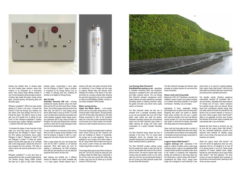

thinking has enabled them to develop ideas into world leading glass solutions, where they continue to be recognized as a world-class brand. Their product range offering consists of over 50 technologically advanced glass products, including; high quality float glass, energy saving glass, structural glazing, self-cleaning glass and decorative glass.

Pilkington energiKare™ differs from basic double glazing as it works in two ways. It reduces the amount of heat lost through your windows, but also allows more heat (energy) from the sun in through the glass. This effect is known as solar gain and you'll benefit from its effects all year round, for free. Pilkington energiKare™ contains two special types of glass: Pilkington Optiwhite™ – a special 'extra-clear' type of glass.

Pilkington energiKare™ is more than twice as energy-efficient as older uncoated double glazing. The Window Energy Rating (WER) scheme has been put in place to help make choosing

 It increases the degree of solar heat gain to help make your home feel warmer and one of the following from the Pilkington K Glass™ range. the UK's leading low-emissivity (low-e) glass: Pilkington K Glass™, Pilkington K Glass™ OW and Pilkington K Glass™ S filling the double glazed unit with either argon gas or air combined with a warm edge spacer, reduces the amount of heat escaping from the windows. This helps to further improve the thermal performance of your window.

It is also available in a connected on-line version. which as well as energy saving indicates in real time the presence of guests or staff in a room, logging the information directly into the hotel PC.

When a quest enters the room and inserts their card into the ESD it switches on all electrical equipment. When staff enters the room for cleaning or maintenance, the ESD recognizes their staff card and switches on only the electrical equipment they need to do their work.

windows easier. Incorporating a low-e glass from the Pilkington K Glass™ range in windows is recognized by the Energy Saving Trust as a means of reducing heat loss; enabling the windows to be eligible for Energy Saving.

#### **SALTO XS4**

**Hippo the Water Saver - is the simple.** proven and low cost water saving device to help conserve water in toilet cisterns. The typical family uses 70% of their water in the bathroom, with toilet flushing accounting for 30% of the household water use. Every time a toilet is flushed the Hippo not only saves up to 3 litres of water, but it will also reduce your carbon footprint and save you money.

**Guardian Security SW Ltd -** provides professional security solutions across the South West and the UK from their head office in Exeter, Devon. One of their energy saving products is the Salto XS4. The SALTO in room energy saving device (ESD) helps to save up to 65%\* of a hotel room or student dorms electricity consumption and unlike standard (magnetic stripe) energy savers, only authorized SALTO key cards will switch on the lights. Any other card (frequent flyer, business card etc) or other SALTO cards belonging to other rooms will not activate the lights.

**RainWaterHarvesting.co.uk** -specializes in rainwater harvesting tanks and equipment, especially in complete kit form, with lower prices and better customer service. The Low Energy Rain Director® rainwater management control system delivers rain water collected by a rainwater harvesting system to washing machines, toilets, the garden and other uses where mains quality water is not required.

Main features and benefits are; 2 different finishes for different room styles, Available with 1 or 2 relay outputs, Window detector input. If

Specializing in living, sustainable building technologies such as green roofs and living walls; Designing their green roof system to address these issues provides the end user a system with maximum benefits in the most cost effective manner possible. ELT has since developed living wall system to deal with the barriers associated with steep slopes and vertical applications.

window is left open, the system will switch off the air conditioning. It has a flexible exit time delay by software, Modern Blue LED indicator which indicates the location of the device in the dark, and blinks as a courtesy indicator after retrieving the card when leaving the room, and it is available in i-Button and RFID(Mifare, DESfire, Vicinity) online version available in RFID models.

#### **Water saving device.**

The carbon footprint of unheated water is relatively small, around 0.003 kg per litre. However over time and multiplied by millions of households, the savings can be quite significant. There are estimated to be in excess of 45 million toilets in the UK, using 2 billion litres of water every day and only around a tenth of these are water-efficient models using 6 litres of water or less.

The average toilet uses around 9 litres of water per flush and 1.64 kg CO2 would be saved per year by fitting a Hippo the Water Saver. Collectively in the UK this could save around 600 million litres if water a day and over 65 million kg (or 65,000 tonnes) of CO2 each year.



Whilst the Logicor Green Wall Socket™ will work with almost all appliances, there are some appliances that are not designed to be shut off in an abrupt manner or not at all. These include projectors, PC towers, bedside clocks, fridges, freezers etc. when deciding to use a Logicor Green Wall Socket™ with that appliance. The timer function can also be disabled when necessary to act just like a normal wall socket, switching on and off as and when required.

#### **Low Energy Rain Director®**

The Rain Director® makes the best use of rainwater from a rainwater harvesting system so you can use rainwater from your roof to flush toilets, wash clothes and water the garden. Rainwater harvesting reduces the environmental impact and the Rain Director® goes further in safely reducing the energy and mains water consumption of a typical rainwater harvesting system.

The Rain Director® simply directs the flow of rainwater in the home. The 12v control panel intelligently directs the rainwater from your rainwater storage tank via the header tank to your toilets, washing machine or garden tap.

The Rain Director® program settings ensure that the header tank water is fresh and that the pump in the rainwater tank works for the minimum amount of time. The result is cleaner water, lower running costs and greater control on your mains water use. And now, we can harness the energy of the sun to drive your Rain Director® system with the new Solar Rain Director®.

The Rain Director® manages and delivers clean rainwater at constant pressure for use around the house and garden.

**Green roofs and living walls** Beginning in 2001, ELT EasyGreen consulted and installed a variety of green roof systems enabling us to identify reoccurring obstacles in the green roof industry – flexibility, cost, and weight.

Green roofs and living walls provide a number of private and public benefits that reduce the impact of urbanization and contribute to the sustainability of ecosystem services and energy conservation in large cities around the world.

## **Logicor Green Wall Socket™**

**Logicor (Group) Ltd** - specializes in the supply or creation of patents across a wide range of industry sectors. Logicor is an established R&D company whose solutions to problems often result in the creation of companies with independent funding and workforces to take those ideas into the market place. Logicor's Green Wall Socket™ complements the Green Plug™ energy saver range and is designed to save electricity in new

build homes or as retro-fit to existing buildings. Each Logicor Green Wall Socket™ will fit into the same space as standard deep back socket boxes and looks just like a standard wall socket.

The benefits include: Electrical appliances automatically switched off completely after a user-set duration, Adjustable timer delay between 15 minutes and 24 hours, Carbon emissions from standby energy drain are reduced, Money saved from unnecessary standby energy drain and safety switch-off control for potential fire risk devices such as electric blankets or hot-irons in the home. Where Logicor Green Wall Socket™ differs is its adjustable air-driven timer function that switches off the power supply completely and automatically after a user-set duration.

Because the timer device is air-driven you can be sure that the Logicor Green Wall Socket™ and any connected appliances consume zero electricity when switched off. Standby energy drain is now a thing of the past and your carbon emissions are reduced.